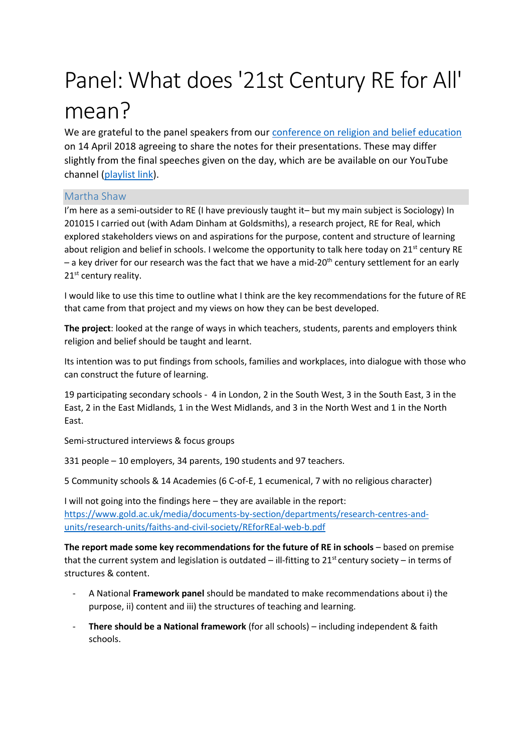# Panel: What does '21st Century RE for All' mean?

We are grateful to the panel speakers from our [conference on religion and belief education](https://www.secularism.org.uk/news/2018/04/broad-consensus-for-reforming-re-at-nss-event) on 14 April 2018 agreeing to share the notes for their presentations. These may differ slightly from the final speeches given on the day, which are be available on our YouTube channel [\(playlist link\)](https://www.youtube.com/watch?v=hxG-IG0CNQg&list=PL3J9CpgtuNPo2xDBe0-FZPKSMBHIAZ21D).

# Martha Shaw

I'm here as a semi-outsider to RE (I have previously taught it– but my main subject is Sociology) In 201015 I carried out (with Adam Dinham at Goldsmiths), a research project, RE for Real, which explored stakeholders views on and aspirations for the purpose, content and structure of learning about religion and belief in schools. I welcome the opportunity to talk here today on 21<sup>st</sup> century RE  $-$  a key driver for our research was the fact that we have a mid-20<sup>th</sup> century settlement for an early 21<sup>st</sup> century reality.

I would like to use this time to outline what I think are the key recommendations for the future of RE that came from that project and my views on how they can be best developed.

**The project**: looked at the range of ways in which teachers, students, parents and employers think religion and belief should be taught and learnt.

Its intention was to put findings from schools, families and workplaces, into dialogue with those who can construct the future of learning.

19 participating secondary schools - 4 in London, 2 in the South West, 3 in the South East, 3 in the East, 2 in the East Midlands, 1 in the West Midlands, and 3 in the North West and 1 in the North East.

Semi-structured interviews & focus groups

331 people – 10 employers, 34 parents, 190 students and 97 teachers.

5 Community schools & 14 Academies (6 C-of-E, 1 ecumenical, 7 with no religious character)

I will not going into the findings here – they are available in the report: [https://www.gold.ac.uk/media/documents-by-section/departments/research-centres-and](https://www.gold.ac.uk/media/documents-by-section/departments/research-centres-and-units/research-units/faiths-and-civil-society/REforREal-web-b.pdf)[units/research-units/faiths-and-civil-society/REforREal-web-b.pdf](https://www.gold.ac.uk/media/documents-by-section/departments/research-centres-and-units/research-units/faiths-and-civil-society/REforREal-web-b.pdf)

**The report made some key recommendations for the future of RE in schools – based on premise** that the current system and legislation is outdated – ill-fitting to 21<sup>st</sup> century society – in terms of structures & content.

- A National **Framework panel** should be mandated to make recommendations about i) the purpose, ii) content and iii) the structures of teaching and learning.
- **There should be a National framework** (for all schools) including independent & faith schools.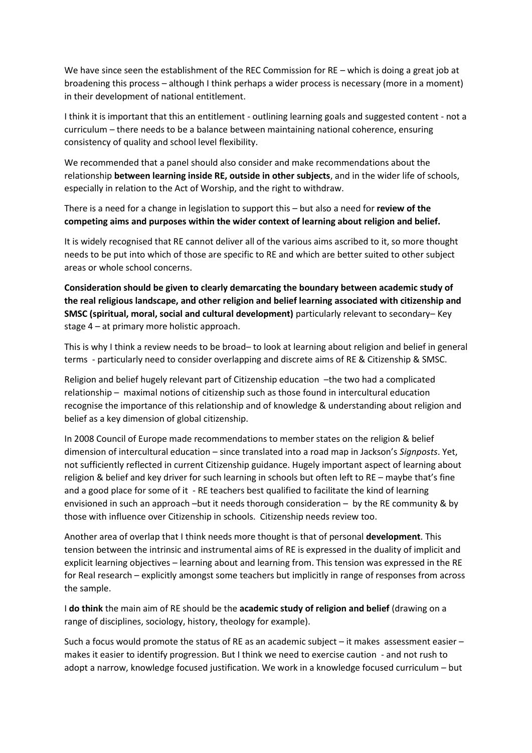We have since seen the establishment of the REC Commission for RE – which is doing a great job at broadening this process – although I think perhaps a wider process is necessary (more in a moment) in their development of national entitlement.

I think it is important that this an entitlement - outlining learning goals and suggested content - not a curriculum – there needs to be a balance between maintaining national coherence, ensuring consistency of quality and school level flexibility.

We recommended that a panel should also consider and make recommendations about the relationship **between learning inside RE, outside in other subjects**, and in the wider life of schools, especially in relation to the Act of Worship, and the right to withdraw.

There is a need for a change in legislation to support this – but also a need for **review of the competing aims and purposes within the wider context of learning about religion and belief.**

It is widely recognised that RE cannot deliver all of the various aims ascribed to it, so more thought needs to be put into which of those are specific to RE and which are better suited to other subject areas or whole school concerns.

**Consideration should be given to clearly demarcating the boundary between academic study of the real religious landscape, and other religion and belief learning associated with citizenship and SMSC (spiritual, moral, social and cultural development)** particularly relevant to secondary– Key stage 4 – at primary more holistic approach.

This is why I think a review needs to be broad– to look at learning about religion and belief in general terms - particularly need to consider overlapping and discrete aims of RE & Citizenship & SMSC.

Religion and belief hugely relevant part of Citizenship education –the two had a complicated relationship – maximal notions of citizenship such as those found in intercultural education recognise the importance of this relationship and of knowledge & understanding about religion and belief as a key dimension of global citizenship.

In 2008 Council of Europe made recommendations to member states on the religion & belief dimension of intercultural education – since translated into a road map in Jackson's *Signposts*. Yet, not sufficiently reflected in current Citizenship guidance. Hugely important aspect of learning about religion & belief and key driver for such learning in schools but often left to RE – maybe that's fine and a good place for some of it - RE teachers best qualified to facilitate the kind of learning envisioned in such an approach –but it needs thorough consideration – by the RE community & by those with influence over Citizenship in schools. Citizenship needs review too.

Another area of overlap that I think needs more thought is that of personal **development**. This tension between the intrinsic and instrumental aims of RE is expressed in the duality of implicit and explicit learning objectives – learning about and learning from. This tension was expressed in the RE for Real research – explicitly amongst some teachers but implicitly in range of responses from across the sample.

I **do think** the main aim of RE should be the **academic study of religion and belief** (drawing on a range of disciplines, sociology, history, theology for example).

Such a focus would promote the status of RE as an academic subject – it makes assessment easier – makes it easier to identify progression. But I think we need to exercise caution - and not rush to adopt a narrow, knowledge focused justification. We work in a knowledge focused curriculum – but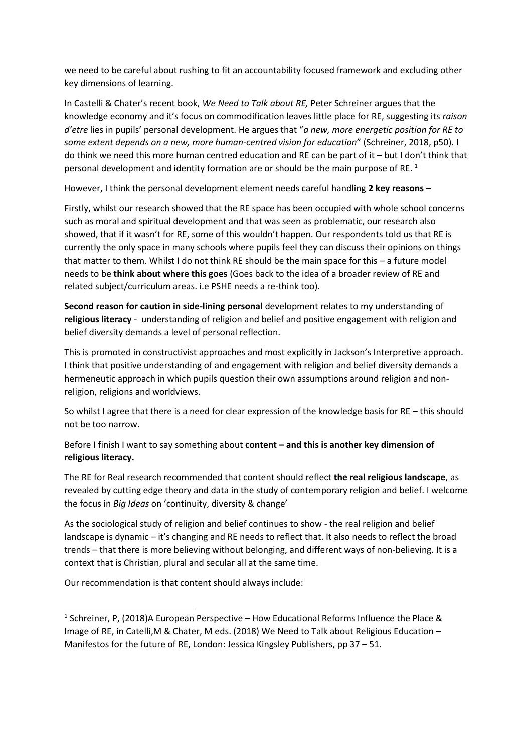we need to be careful about rushing to fit an accountability focused framework and excluding other key dimensions of learning.

In Castelli & Chater's recent book, *We Need to Talk about RE,* Peter Schreiner argues that the knowledge economy and it's focus on commodification leaves little place for RE, suggesting its *raison d'etre* lies in pupils' personal development. He argues that "*a new, more energetic position for RE to some extent depends on a new, more human-centred vision for education*" (Schreiner, 2018, p50). I do think we need this more human centred education and RE can be part of it – but I don't think that personal development and identity formation are or should be the main purpose of RE.<sup>1</sup>

However, I think the personal development element needs careful handling **2 key reasons** –

Firstly, whilst our research showed that the RE space has been occupied with whole school concerns such as moral and spiritual development and that was seen as problematic, our research also showed, that if it wasn't for RE, some of this wouldn't happen. Our respondents told us that RE is currently the only space in many schools where pupils feel they can discuss their opinions on things that matter to them. Whilst I do not think RE should be the main space for this – a future model needs to be **think about where this goes** (Goes back to the idea of a broader review of RE and related subject/curriculum areas. i.e PSHE needs a re-think too).

**Second reason for caution in side-lining personal** development relates to my understanding of **religious literacy** - understanding of religion and belief and positive engagement with religion and belief diversity demands a level of personal reflection.

This is promoted in constructivist approaches and most explicitly in Jackson's Interpretive approach. I think that positive understanding of and engagement with religion and belief diversity demands a hermeneutic approach in which pupils question their own assumptions around religion and nonreligion, religions and worldviews.

So whilst I agree that there is a need for clear expression of the knowledge basis for RE – this should not be too narrow.

Before I finish I want to say something about **content – and this is another key dimension of religious literacy.**

The RE for Real research recommended that content should reflect **the real religious landscape**, as revealed by cutting edge theory and data in the study of contemporary religion and belief. I welcome the focus in *Big Ideas* on 'continuity, diversity & change'

As the sociological study of religion and belief continues to show - the real religion and belief landscape is dynamic – it's changing and RE needs to reflect that. It also needs to reflect the broad trends – that there is more believing without belonging, and different ways of non-believing. It is a context that is Christian, plural and secular all at the same time.

Our recommendation is that content should always include:

 $\overline{a}$ 

<sup>&</sup>lt;sup>1</sup> Schreiner, P, (2018)A European Perspective – How Educational Reforms Influence the Place & Image of RE, in Catelli,M & Chater, M eds. (2018) We Need to Talk about Religious Education – Manifestos for the future of RE, London: Jessica Kingsley Publishers, pp 37 – 51.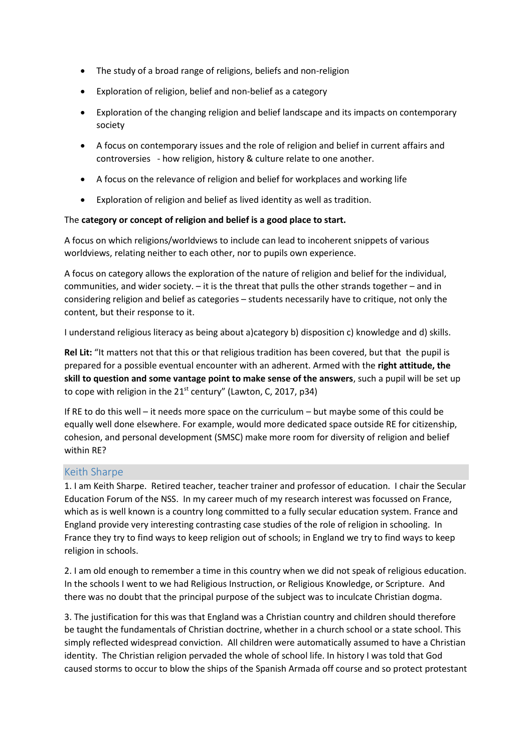- The study of a broad range of religions, beliefs and non-religion
- Exploration of religion, belief and non-belief as a category
- Exploration of the changing religion and belief landscape and its impacts on contemporary society
- A focus on contemporary issues and the role of religion and belief in current affairs and controversies - how religion, history & culture relate to one another.
- A focus on the relevance of religion and belief for workplaces and working life
- Exploration of religion and belief as lived identity as well as tradition.

## The **category or concept of religion and belief is a good place to start.**

A focus on which religions/worldviews to include can lead to incoherent snippets of various worldviews, relating neither to each other, nor to pupils own experience.

A focus on category allows the exploration of the nature of religion and belief for the individual, communities, and wider society. – it is the threat that pulls the other strands together – and in considering religion and belief as categories – students necessarily have to critique, not only the content, but their response to it.

I understand religious literacy as being about a)category b) disposition c) knowledge and d) skills.

**Rel Lit:** "It matters not that this or that religious tradition has been covered, but that the pupil is prepared for a possible eventual encounter with an adherent. Armed with the **right attitude, the skill to question and some vantage point to make sense of the answers**, such a pupil will be set up to cope with religion in the  $21^{st}$  century" (Lawton, C, 2017, p34)

If RE to do this well – it needs more space on the curriculum – but maybe some of this could be equally well done elsewhere. For example, would more dedicated space outside RE for citizenship, cohesion, and personal development (SMSC) make more room for diversity of religion and belief within RE?

## Keith Sharpe

1. I am Keith Sharpe. Retired teacher, teacher trainer and professor of education. I chair the Secular Education Forum of the NSS. In my career much of my research interest was focussed on France, which as is well known is a country long committed to a fully secular education system. France and England provide very interesting contrasting case studies of the role of religion in schooling. In France they try to find ways to keep religion out of schools; in England we try to find ways to keep religion in schools.

2. I am old enough to remember a time in this country when we did not speak of religious education. In the schools I went to we had Religious Instruction, or Religious Knowledge, or Scripture. And there was no doubt that the principal purpose of the subject was to inculcate Christian dogma.

3. The justification for this was that England was a Christian country and children should therefore be taught the fundamentals of Christian doctrine, whether in a church school or a state school. This simply reflected widespread conviction. All children were automatically assumed to have a Christian identity. The Christian religion pervaded the whole of school life. In history I was told that God caused storms to occur to blow the ships of the Spanish Armada off course and so protect protestant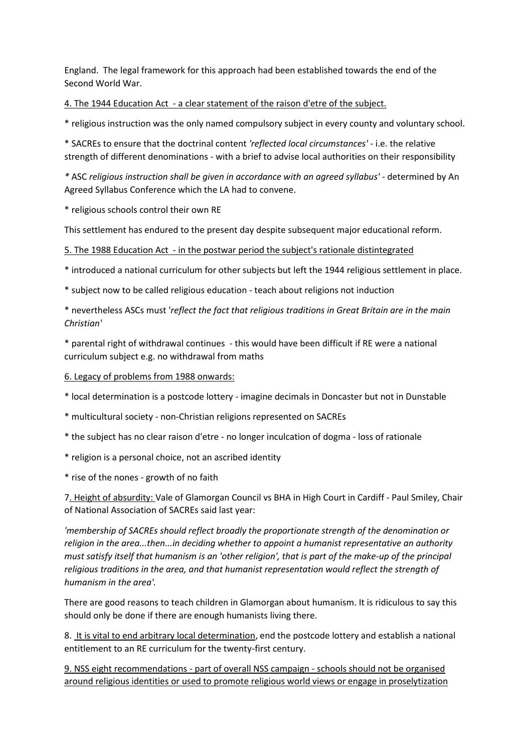England. The legal framework for this approach had been established towards the end of the Second World War.

4. The 1944 Education Act - a clear statement of the raison d'etre of the subject.

\* religious instruction was the only named compulsory subject in every county and voluntary school.

\* SACREs to ensure that the doctrinal content *'reflected local circumstances'* - i.e. the relative strength of different denominations - with a brief to advise local authorities on their responsibility

*\** ASC *religious instruction shall be given in accordance with an agreed syllabus'* - determined by An Agreed Syllabus Conference which the LA had to convene.

\* religious schools control their own RE

This settlement has endured to the present day despite subsequent major educational reform.

5. The 1988 Education Act - in the postwar period the subject's rationale distintegrated

\* introduced a national curriculum for other subjects but left the 1944 religious settlement in place.

\* subject now to be called religious education - teach about religions not induction

\* nevertheless ASCs must '*reflect the fact that religious traditions in Great Britain are in the main Christian'*

\* parental right of withdrawal continues - this would have been difficult if RE were a national curriculum subject e.g. no withdrawal from maths

## 6. Legacy of problems from 1988 onwards:

\* local determination is a postcode lottery - imagine decimals in Doncaster but not in Dunstable

\* multicultural society - non-Christian religions represented on SACREs

\* the subject has no clear raison d'etre - no longer inculcation of dogma - loss of rationale

\* religion is a personal choice, not an ascribed identity

\* rise of the nones - growth of no faith

7. Height of absurdity: Vale of Glamorgan Council vs BHA in High Court in Cardiff - Paul Smiley, Chair of National Association of SACREs said last year:

*'membership of SACREs should reflect broadly the proportionate strength of the denomination or religion in the area...then...in deciding whether to appoint a humanist representative an authority must satisfy itself that humanism is an 'other religion', that is part of the make-up of the principal religious traditions in the area, and that humanist representation would reflect the strength of humanism in the area'.*

There are good reasons to teach children in Glamorgan about humanism. It is ridiculous to say this should only be done if there are enough humanists living there.

8. It is vital to end arbitrary local determination, end the postcode lottery and establish a national entitlement to an RE curriculum for the twenty-first century.

9. NSS eight recommendations - part of overall NSS campaign - schools should not be organised around religious identities or used to promote religious world views or engage in proselytization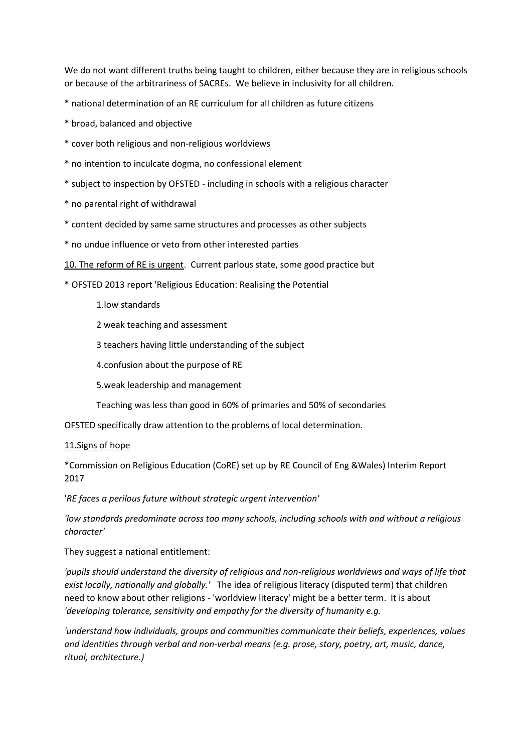We do not want different truths being taught to children, either because they are in religious schools or because of the arbitrariness of SACREs. We believe in inclusivity for all children.

\* national determination of an RE curriculum for all children as future citizens

- \* broad, balanced and objective
- \* cover both religious and non-religious worldviews
- \* no intention to inculcate dogma, no confessional element
- \* subject to inspection by OFSTED including in schools with a religious character
- \* no parental right of withdrawal
- \* content decided by same same structures and processes as other subjects
- \* no undue influence or veto from other interested parties
- 10. The reform of RE is urgent. Current parlous state, some good practice but

\* OFSTED 2013 report 'Religious Education: Realising the Potential

- 1.low standards
- 2 weak teaching and assessment
- 3 teachers having little understanding of the subject
- 4.confusion about the purpose of RE
- 5.weak leadership and management
- Teaching was less than good in 60% of primaries and 50% of secondaries

OFSTED specifically draw attention to the problems of local determination.

## 11.Signs of hope

\*Commission on Religious Education (CoRE) set up by RE Council of Eng &Wales) Interim Report 2017

'*RE faces a perilous future without strategic urgent intervention'*

*'low standards predominate across too many schools, including schools with and without a religious character'*

They suggest a national entitlement:

*'pupils should understand the diversity of religious and non-religious worldviews and ways of life that exist locally, nationally and globally.'* The idea of religious literacy (disputed term) that children need to know about other religions - 'worldview literacy' might be a better term. It is about *'developing tolerance, sensitivity and empathy for the diversity of humanity e.g.*

*'understand how individuals, groups and communities communicate their beliefs, experiences, values and identities through verbal and non-verbal means (e.g. prose, story, poetry, art, music, dance, ritual, architecture.)*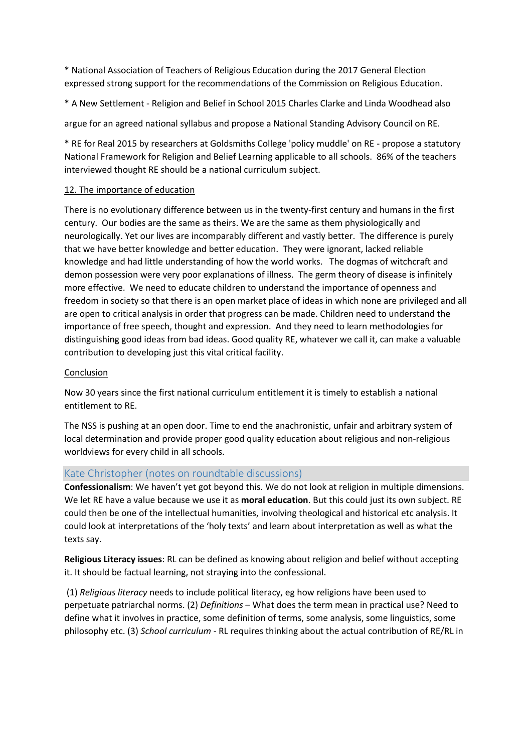\* National Association of Teachers of Religious Education during the 2017 General Election expressed strong support for the recommendations of the Commission on Religious Education.

\* A New Settlement - Religion and Belief in School 2015 Charles Clarke and Linda Woodhead also

argue for an agreed national syllabus and propose a National Standing Advisory Council on RE.

\* RE for Real 2015 by researchers at Goldsmiths College 'policy muddle' on RE - propose a statutory National Framework for Religion and Belief Learning applicable to all schools. 86% of the teachers interviewed thought RE should be a national curriculum subject.

## 12. The importance of education

There is no evolutionary difference between us in the twenty-first century and humans in the first century. Our bodies are the same as theirs. We are the same as them physiologically and neurologically. Yet our lives are incomparably different and vastly better. The difference is purely that we have better knowledge and better education. They were ignorant, lacked reliable knowledge and had little understanding of how the world works. The dogmas of witchcraft and demon possession were very poor explanations of illness. The germ theory of disease is infinitely more effective. We need to educate children to understand the importance of openness and freedom in society so that there is an open market place of ideas in which none are privileged and all are open to critical analysis in order that progress can be made. Children need to understand the importance of free speech, thought and expression. And they need to learn methodologies for distinguishing good ideas from bad ideas. Good quality RE, whatever we call it, can make a valuable contribution to developing just this vital critical facility.

## Conclusion

Now 30 years since the first national curriculum entitlement it is timely to establish a national entitlement to RE.

The NSS is pushing at an open door. Time to end the anachronistic, unfair and arbitrary system of local determination and provide proper good quality education about religious and non-religious worldviews for every child in all schools.

## Kate Christopher (notes on roundtable discussions)

**Confessionalism**: We haven't yet got beyond this. We do not look at religion in multiple dimensions. We let RE have a value because we use it as **moral education**. But this could just its own subject. RE could then be one of the intellectual humanities, involving theological and historical etc analysis. It could look at interpretations of the 'holy texts' and learn about interpretation as well as what the texts say.

**Religious Literacy issues**: RL can be defined as knowing about religion and belief without accepting it. It should be factual learning, not straying into the confessional.

(1) *Religious literacy* needs to include political literacy, eg how religions have been used to perpetuate patriarchal norms. (2) *Definitions* – What does the term mean in practical use? Need to define what it involves in practice, some definition of terms, some analysis, some linguistics, some philosophy etc. (3) *School curriculum* - RL requires thinking about the actual contribution of RE/RL in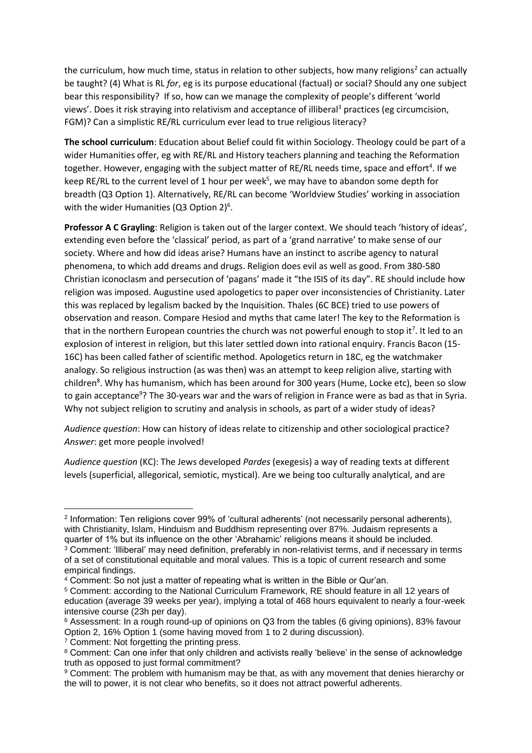the curriculum, how much time, status in relation to other subjects, how many religions<sup>2</sup> can actually be taught? (4) What is RL *for*, eg is its purpose educational (factual) or social? Should any one subject bear this responsibility? If so, how can we manage the complexity of people's different 'world views'. Does it risk straying into relativism and acceptance of illiberal<sup>3</sup> practices (eg circumcision, FGM)? Can a simplistic RE/RL curriculum ever lead to true religious literacy?

**The school curriculum**: Education about Belief could fit within Sociology. Theology could be part of a wider Humanities offer, eg with RE/RL and History teachers planning and teaching the Reformation together. However, engaging with the subject matter of RE/RL needs time, space and effort<sup>4</sup>. If we keep RE/RL to the current level of 1 hour per week<sup>5</sup>, we may have to abandon some depth for breadth (Q3 Option 1). Alternatively, RE/RL can become 'Worldview Studies' working in association with the wider Humanities (Q3 Option 2) $6$ .

**Professor A C Grayling**: Religion is taken out of the larger context. We should teach 'history of ideas', extending even before the 'classical' period, as part of a 'grand narrative' to make sense of our society. Where and how did ideas arise? Humans have an instinct to ascribe agency to natural phenomena, to which add dreams and drugs. Religion does evil as well as good. From 380-580 Christian iconoclasm and persecution of 'pagans' made it "the ISIS of its day". RE should include how religion was imposed. Augustine used apologetics to paper over inconsistencies of Christianity. Later this was replaced by legalism backed by the Inquisition. Thales (6C BCE) tried to use powers of observation and reason. Compare Hesiod and myths that came later! The key to the Reformation is that in the northern European countries the church was not powerful enough to stop it<sup>7</sup>. It led to an explosion of interest in religion, but this later settled down into rational enquiry. Francis Bacon (15- 16C) has been called father of scientific method. Apologetics return in 18C, eg the watchmaker analogy. So religious instruction (as was then) was an attempt to keep religion alive, starting with children<sup>8</sup>. Why has humanism, which has been around for 300 years (Hume, Locke etc), been so slow to gain acceptance<sup>9</sup>? The 30-years war and the wars of religion in France were as bad as that in Syria. Why not subject religion to scrutiny and analysis in schools, as part of a wider study of ideas?

*Audience question*: How can history of ideas relate to citizenship and other sociological practice? *Answer*: get more people involved!

*Audience question* (KC): The Jews developed *Pardes* (exegesis) a way of reading texts at different levels (superficial, allegorical, semiotic, mystical). Are we being too culturally analytical, and are

**<sup>.</sup>** 2 Information: Ten religions cover 99% of 'cultural adherents' (not necessarily personal adherents), with Christianity, Islam, Hinduism and Buddhism representing over 87%. Judaism represents a quarter of 1% but its influence on the other 'Abrahamic' religions means it should be included. <sup>3</sup> Comment: 'Illiberal' may need definition, preferably in non-relativist terms, and if necessary in terms of a set of constitutional equitable and moral values. This is a topic of current research and some empirical findings.

<sup>4</sup> Comment: So not just a matter of repeating what is written in the Bible or Qur'an.

<sup>5</sup> Comment: according to the National Curriculum Framework, RE should feature in all 12 years of education (average 39 weeks per year), implying a total of 468 hours equivalent to nearly a four-week intensive course (23h per day).

<sup>6</sup> Assessment: In a rough round-up of opinions on Q3 from the tables (6 giving opinions), 83% favour Option 2, 16% Option 1 (some having moved from 1 to 2 during discussion).

<sup>&</sup>lt;sup>7</sup> Comment: Not forgetting the printing press.

<sup>8</sup> Comment: Can one infer that only children and activists really 'believe' in the sense of acknowledge truth as opposed to just formal commitment?

<sup>9</sup> Comment: The problem with humanism may be that, as with any movement that denies hierarchy or the will to power, it is not clear who benefits, so it does not attract powerful adherents.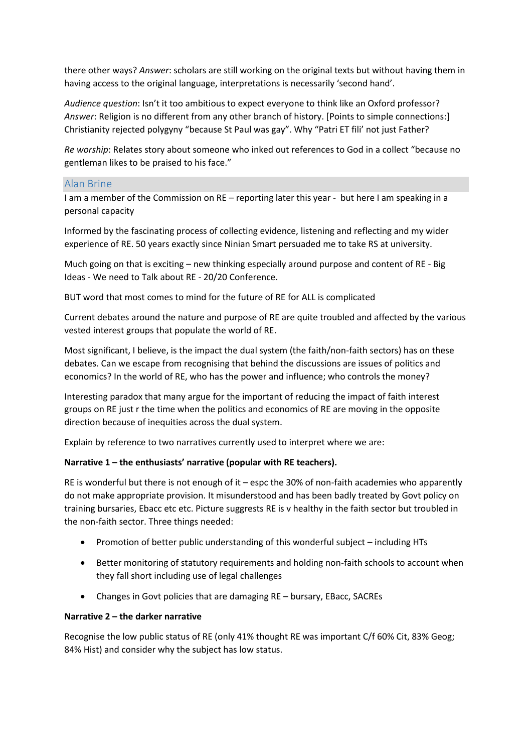there other ways? *Answer*: scholars are still working on the original texts but without having them in having access to the original language, interpretations is necessarily 'second hand'.

*Audience question*: Isn't it too ambitious to expect everyone to think like an Oxford professor? *Answer*: Religion is no different from any other branch of history. [Points to simple connections:] Christianity rejected polygyny "because St Paul was gay". Why "Patri ET fili' not just Father?

*Re worship*: Relates story about someone who inked out references to God in a collect "because no gentleman likes to be praised to his face."

## Alan Brine

I am a member of the Commission on RE – reporting later this year - but here I am speaking in a personal capacity

Informed by the fascinating process of collecting evidence, listening and reflecting and my wider experience of RE. 50 years exactly since Ninian Smart persuaded me to take RS at university.

Much going on that is exciting – new thinking especially around purpose and content of RE - Big Ideas - We need to Talk about RE - 20/20 Conference.

BUT word that most comes to mind for the future of RE for ALL is complicated

Current debates around the nature and purpose of RE are quite troubled and affected by the various vested interest groups that populate the world of RE.

Most significant, I believe, is the impact the dual system (the faith/non-faith sectors) has on these debates. Can we escape from recognising that behind the discussions are issues of politics and economics? In the world of RE, who has the power and influence; who controls the money?

Interesting paradox that many argue for the important of reducing the impact of faith interest groups on RE just r the time when the politics and economics of RE are moving in the opposite direction because of inequities across the dual system.

Explain by reference to two narratives currently used to interpret where we are:

## **Narrative 1 – the enthusiasts' narrative (popular with RE teachers).**

RE is wonderful but there is not enough of it – espc the 30% of non-faith academies who apparently do not make appropriate provision. It misunderstood and has been badly treated by Govt policy on training bursaries, Ebacc etc etc. Picture suggrests RE is v healthy in the faith sector but troubled in the non-faith sector. Three things needed:

- Promotion of better public understanding of this wonderful subject including HTs
- Better monitoring of statutory requirements and holding non-faith schools to account when they fall short including use of legal challenges
- Changes in Govt policies that are damaging RE bursary, EBacc, SACREs

## **Narrative 2 – the darker narrative**

Recognise the low public status of RE (only 41% thought RE was important C/f 60% Cit, 83% Geog; 84% Hist) and consider why the subject has low status.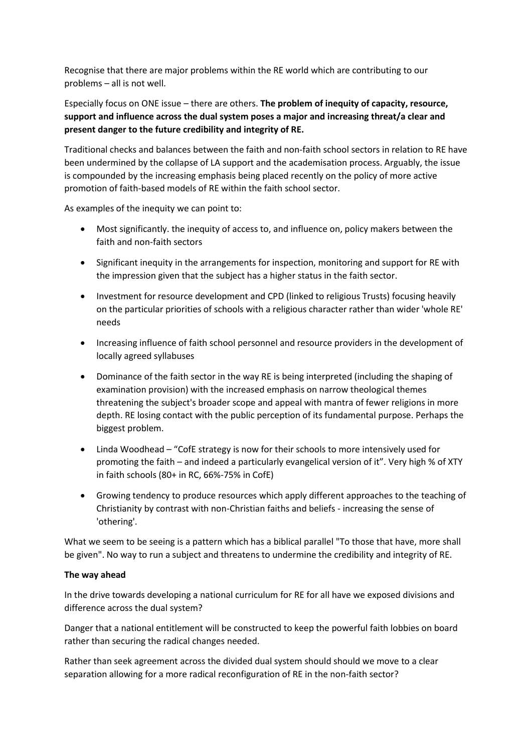Recognise that there are major problems within the RE world which are contributing to our problems – all is not well.

Especially focus on ONE issue – there are others. **The problem of inequity of capacity, resource, support and influence across the dual system poses a major and increasing threat/a clear and present danger to the future credibility and integrity of RE.** 

Traditional checks and balances between the faith and non-faith school sectors in relation to RE have been undermined by the collapse of LA support and the academisation process. Arguably, the issue is compounded by the increasing emphasis being placed recently on the policy of more active promotion of faith-based models of RE within the faith school sector.

As examples of the inequity we can point to:

- Most significantly. the inequity of access to, and influence on, policy makers between the faith and non-faith sectors
- Significant inequity in the arrangements for inspection, monitoring and support for RE with the impression given that the subject has a higher status in the faith sector.
- Investment for resource development and CPD (linked to religious Trusts) focusing heavily on the particular priorities of schools with a religious character rather than wider 'whole RE' needs
- Increasing influence of faith school personnel and resource providers in the development of locally agreed syllabuses
- Dominance of the faith sector in the way RE is being interpreted (including the shaping of examination provision) with the increased emphasis on narrow theological themes threatening the subject's broader scope and appeal with mantra of fewer religions in more depth. RE losing contact with the public perception of its fundamental purpose. Perhaps the biggest problem.
- Linda Woodhead "CofE strategy is now for their schools to more intensively used for promoting the faith – and indeed a particularly evangelical version of it". Very high % of XTY in faith schools (80+ in RC, 66%-75% in CofE)
- Growing tendency to produce resources which apply different approaches to the teaching of Christianity by contrast with non-Christian faiths and beliefs - increasing the sense of 'othering'.

What we seem to be seeing is a pattern which has a biblical parallel "To those that have, more shall be given". No way to run a subject and threatens to undermine the credibility and integrity of RE.

## **The way ahead**

In the drive towards developing a national curriculum for RE for all have we exposed divisions and difference across the dual system?

Danger that a national entitlement will be constructed to keep the powerful faith lobbies on board rather than securing the radical changes needed.

Rather than seek agreement across the divided dual system should should we move to a clear separation allowing for a more radical reconfiguration of RE in the non-faith sector?